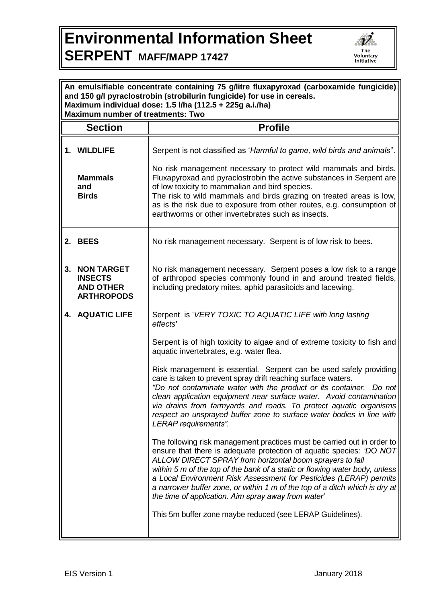## **Environmental Information Sheet SERPENT MAFF/MAPP 17427**



| An emulsifiable concentrate containing 75 g/litre fluxapyroxad (carboxamide fungicide)<br>and 150 g/l pyraclostrobin (strobilurin fungicide) for use in cereals.<br>Maximum individual dose: 1.5 l/ha (112.5 + 225g a.i./ha)<br><b>Maximum number of treatments: Two</b> |                                                                                                                                                                                                                                                                                                                                                                                                                                                                                                        |  |  |
|--------------------------------------------------------------------------------------------------------------------------------------------------------------------------------------------------------------------------------------------------------------------------|--------------------------------------------------------------------------------------------------------------------------------------------------------------------------------------------------------------------------------------------------------------------------------------------------------------------------------------------------------------------------------------------------------------------------------------------------------------------------------------------------------|--|--|
| <b>Section</b>                                                                                                                                                                                                                                                           | <b>Profile</b>                                                                                                                                                                                                                                                                                                                                                                                                                                                                                         |  |  |
| 1. WILDLIFE<br><b>Mammals</b><br>and<br><b>Birds</b>                                                                                                                                                                                                                     | Serpent is not classified as 'Harmful to game, wild birds and animals".<br>No risk management necessary to protect wild mammals and birds.<br>Fluxapyroxad and pyraclostrobin the active substances in Serpent are<br>of low toxicity to mammalian and bird species.<br>The risk to wild mammals and birds grazing on treated areas is low,<br>as is the risk due to exposure from other routes, e.g. consumption of<br>earthworms or other invertebrates such as insects.                             |  |  |
| 2. BEES                                                                                                                                                                                                                                                                  | No risk management necessary. Serpent is of low risk to bees.                                                                                                                                                                                                                                                                                                                                                                                                                                          |  |  |
| <b>NON TARGET</b><br>3.<br><b>INSECTS</b><br><b>AND OTHER</b><br><b>ARTHROPODS</b>                                                                                                                                                                                       | No risk management necessary. Serpent poses a low risk to a range<br>of arthropod species commonly found in and around treated fields,<br>including predatory mites, aphid parasitoids and lacewing.                                                                                                                                                                                                                                                                                                   |  |  |
| <b>4. AQUATIC LIFE</b>                                                                                                                                                                                                                                                   | Serpent is 'VERY TOXIC TO AQUATIC LIFE with long lasting<br>effects'                                                                                                                                                                                                                                                                                                                                                                                                                                   |  |  |
|                                                                                                                                                                                                                                                                          | Serpent is of high toxicity to algae and of extreme toxicity to fish and<br>aquatic invertebrates, e.g. water flea.                                                                                                                                                                                                                                                                                                                                                                                    |  |  |
|                                                                                                                                                                                                                                                                          | Risk management is essential. Serpent can be used safely providing<br>care is taken to prevent spray drift reaching surface waters.<br>"Do not contaminate water with the product or its container. Do not<br>clean application equipment near surface water. Avoid contamination<br>via drains from farmyards and roads. To protect aquatic organisms<br>respect an unsprayed buffer zone to surface water bodies in line with<br>LERAP requirements".                                                |  |  |
|                                                                                                                                                                                                                                                                          | The following risk management practices must be carried out in order to<br>ensure that there is adequate protection of aquatic species: 'DO NOT<br>ALLOW DIRECT SPRAY from horizontal boom sprayers to fall<br>within 5 m of the top of the bank of a static or flowing water body, unless<br>a Local Environment Risk Assessment for Pesticides (LERAP) permits<br>a narrower buffer zone, or within 1 m of the top of a ditch which is dry at<br>the time of application. Aim spray away from water' |  |  |
|                                                                                                                                                                                                                                                                          | This 5m buffer zone maybe reduced (see LERAP Guidelines).                                                                                                                                                                                                                                                                                                                                                                                                                                              |  |  |